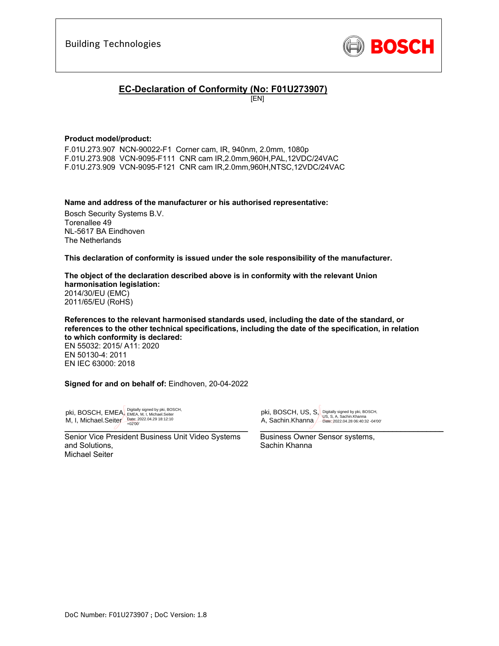

### **EC-Declaration of Conformity (No: F01U273907)**

[EN]

### **Product model/product:**

F.01U.273.907 NCN-90022-F1 Corner cam, IR, 940nm, 2.0mm, 1080p F.01U.273.908 VCN-9095-F111 CNR cam IR,2.0mm,960H,PAL,12VDC/24VAC F.01U.273.909 VCN-9095-F121 CNR cam IR,2.0mm,960H,NTSC,12VDC/24VAC

**Name and address of the manufacturer or his authorised representative:**

Bosch Security Systems B.V. Torenallee 49 NL-5617 BA Eindhoven The Netherlands

**This declaration of conformity is issued under the sole responsibility of the manufacturer.** 

**The object of the declaration described above is in conformity with the relevant Union harmonisation legislation:** 2014/30/EU (EMC) 2011/65/EU (RoHS)

**References to the relevant harmonised standards used, including the date of the standard, or references to the other technical specifications, including the date of the specification, in relation to which conformity is declared:**  EN 55032: 2015/ A11: 2020 EN 50130-4: 2011 EN IEC 63000: 2018

**Signed for and on behalf of:** Eindhoven, 20-04-2022

 $\overline{\phantom{a}}$ pki, BOSCH, EMEA, Digitally signed by pki, BOSCH, M, I, Michael.Seiter<br>  $\frac{\text{Date: } 2022.04.29 \cdot 18:12:10}{+02'00}$ 

Senior Vice President Business Unit Video Systems and Solutions, Michael Seiter

 $\overline{\mathcal{O}}$  , and the set of the set of the set of the set of the set of the set of the set of the set of the set of the set of the set of the set of the set of the set of the set of the set of the set of the set of the s pki, BOSCH, US, S, Digitally signed by pki, BOSCH, A, Sachin.Khanna Date: 2022.04.28 06:40:32 -04'00'

Business Owner Sensor systems, Sachin Khanna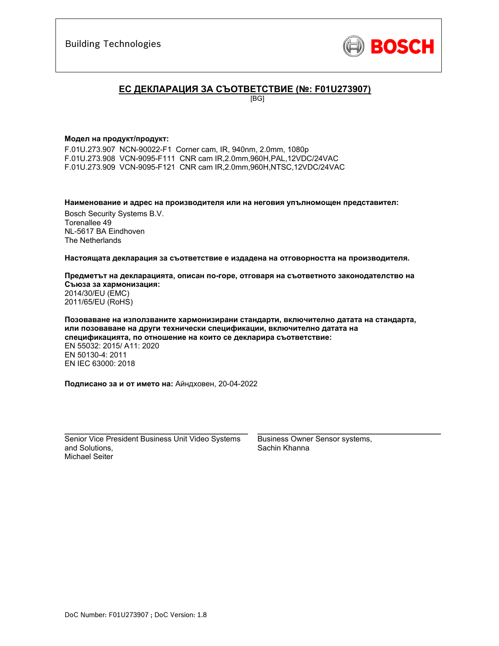

### **ЕС ДЕКЛАРАЦИЯ ЗА СЪОТВЕТСТВИЕ (№: F01U273907)**

[BG]

#### **Модел на продукт/продукт:**

F.01U.273.907 NCN-90022-F1 Corner cam, IR, 940nm, 2.0mm, 1080p F.01U.273.908 VCN-9095-F111 CNR cam IR,2.0mm,960H,PAL,12VDC/24VAC F.01U.273.909 VCN-9095-F121 CNR cam IR,2.0mm,960H,NTSC,12VDC/24VAC

**Наименование и адрес на производителя или на неговия упълномощен представител:** 

Bosch Security Systems B.V. Torenallee 49 NL-5617 BA Eindhoven The Netherlands

**Настоящата декларация за съответствие е издадена на отговорността на производителя.** 

**Предметът на декларацията, описан по-горе, отговаря на съответното законодателство на Съюза за хармонизация:** 2014/30/EU (EMC) 2011/65/EU (RoHS)

**Позоваване на използваните хармонизирани стандарти, включително датата на стандарта, или позоваване на други технически спецификации, включително датата на спецификацията, по отношение на които се декларира съответствие:**  EN 55032: 2015/ A11: 2020 EN 50130-4: 2011 EN IEC 63000: 2018

**Подписано за и от името на:** Айндховен, 20-04-2022

Senior Vice President Business Unit Video Systems and Solutions, Michael Seiter

 $\mathcal{L}_\text{max}$  and  $\mathcal{L}_\text{max}$  and  $\mathcal{L}_\text{max}$  and  $\mathcal{L}_\text{max}$ 

Business Owner Sensor systems, Sachin Khanna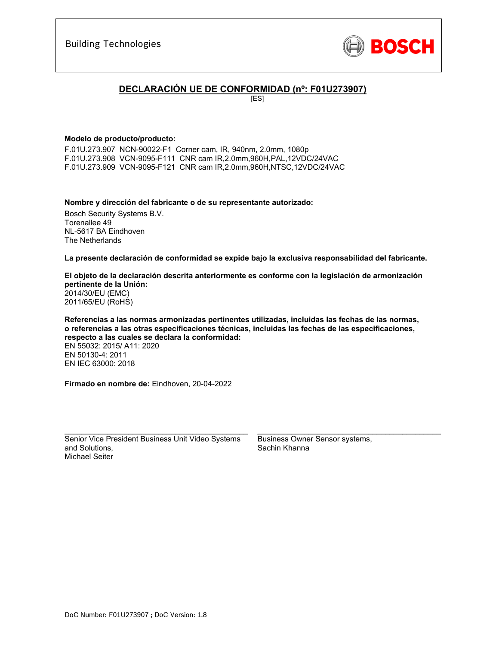

### **DECLARACIÓN UE DE CONFORMIDAD (nº: F01U273907)**

[ES]

### **Modelo de producto/producto:**

F.01U.273.907 NCN-90022-F1 Corner cam, IR, 940nm, 2.0mm, 1080p F.01U.273.908 VCN-9095-F111 CNR cam IR,2.0mm,960H,PAL,12VDC/24VAC F.01U.273.909 VCN-9095-F121 CNR cam IR,2.0mm,960H,NTSC,12VDC/24VAC

**Nombre y dirección del fabricante o de su representante autorizado:** 

Bosch Security Systems B.V. Torenallee 49 NL-5617 BA Eindhoven The Netherlands

**La presente declaración de conformidad se expide bajo la exclusiva responsabilidad del fabricante.** 

**El objeto de la declaración descrita anteriormente es conforme con la legislación de armonización pertinente de la Unión:** 2014/30/EU (EMC) 2011/65/EU (RoHS)

**Referencias a las normas armonizadas pertinentes utilizadas, incluidas las fechas de las normas, o referencias a las otras especificaciones técnicas, incluidas las fechas de las especificaciones, respecto a las cuales se declara la conformidad:**  EN 55032: 2015/ A11: 2020 EN 50130-4: 2011 EN IEC 63000: 2018

**Firmado en nombre de:** Eindhoven, 20-04-2022

Senior Vice President Business Unit Video Systems and Solutions, Michael Seiter

 $\mathcal{L}_\text{max}$  and  $\mathcal{L}_\text{max}$  and  $\mathcal{L}_\text{max}$  and  $\mathcal{L}_\text{max}$ 

Business Owner Sensor systems, Sachin Khanna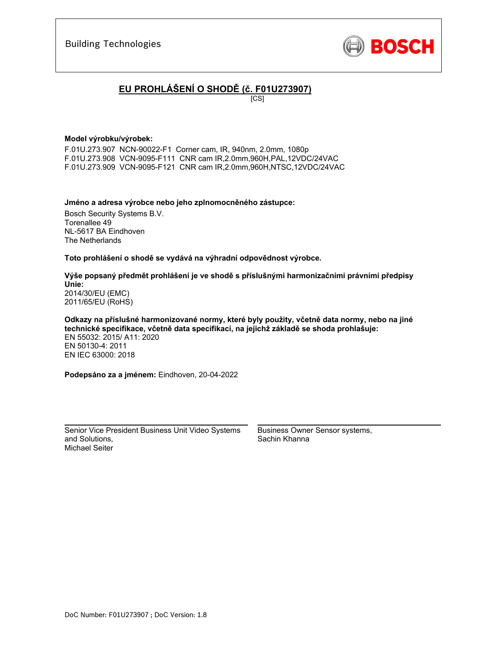

# **EU PROHLÁŠENÍ O SHODĚ (č. F01U273907)**

[CS]

#### **Model výrobku/výrobek:**

F.01U.273.907 NCN-90022-F1 Corner cam, IR, 940nm, 2.0mm, 1080p F.01U.273.908 VCN-9095-F111 CNR cam IR,2.0mm,960H,PAL,12VDC/24VAC F.01U.273.909 VCN-9095-F121 CNR cam IR,2.0mm,960H,NTSC,12VDC/24VAC

#### **Jméno a adresa výrobce nebo jeho zplnomocněného zástupce:**

Bosch Security Systems B.V. Torenallee 49 NL-5617 BA Eindhoven The Netherlands

#### **Toto prohlášení o shodě se vydává na výhradní odpovědnost výrobce.**

#### **Výše popsaný předmět prohlášení je ve shodě s příslušnými harmonizačními právními předpisy Unie:** 2014/30/EU (EMC) 2011/65/EU (RoHS)

**Odkazy na příslušné harmonizované normy, které byly použity, včetně data normy, nebo na jiné technické specifikace, včetně data specifikací, na jejichž základě se shoda prohlašuje:**  EN 55032: 2015/ A11: 2020 EN 50130-4: 2011 EN IEC 63000: 2018

**Podepsáno za a jménem:** Eindhoven, 20-04-2022

Senior Vice President Business Unit Video Systems and Solutions, Michael Seiter

\_\_\_\_\_\_\_\_\_\_\_\_\_\_\_\_\_\_\_\_\_\_\_\_\_\_\_\_\_\_\_\_\_\_\_\_\_\_\_\_\_\_\_

Business Owner Sensor systems, Sachin Khanna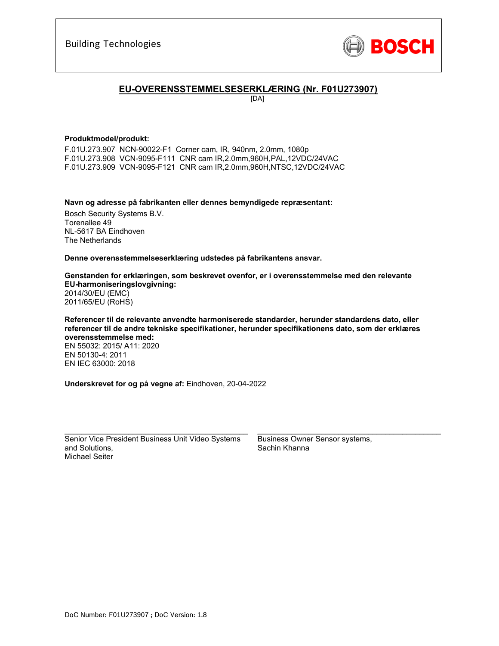

### **EU-OVERENSSTEMMELSESERKLÆRING (Nr. F01U273907)**

[DA]

#### **Produktmodel/produkt:**

F.01U.273.907 NCN-90022-F1 Corner cam, IR, 940nm, 2.0mm, 1080p F.01U.273.908 VCN-9095-F111 CNR cam IR,2.0mm,960H,PAL,12VDC/24VAC F.01U.273.909 VCN-9095-F121 CNR cam IR,2.0mm,960H,NTSC,12VDC/24VAC

**Navn og adresse på fabrikanten eller dennes bemyndigede repræsentant:** 

Bosch Security Systems B.V. Torenallee 49 NL-5617 BA Eindhoven The Netherlands

**Denne overensstemmelseserklæring udstedes på fabrikantens ansvar.** 

**Genstanden for erklæringen, som beskrevet ovenfor, er i overensstemmelse med den relevante EU-harmoniseringslovgivning:** 2014/30/EU (EMC) 2011/65/EU (RoHS)

**Referencer til de relevante anvendte harmoniserede standarder, herunder standardens dato, eller referencer til de andre tekniske specifikationer, herunder specifikationens dato, som der erklæres overensstemmelse med:**  EN 55032: 2015/ A11: 2020 EN 50130-4: 2011 EN IEC 63000: 2018

**Underskrevet for og på vegne af:** Eindhoven, 20-04-2022

Senior Vice President Business Unit Video Systems and Solutions, Michael Seiter

\_\_\_\_\_\_\_\_\_\_\_\_\_\_\_\_\_\_\_\_\_\_\_\_\_\_\_\_\_\_\_\_\_\_\_\_\_\_\_\_\_\_\_

Business Owner Sensor systems, Sachin Khanna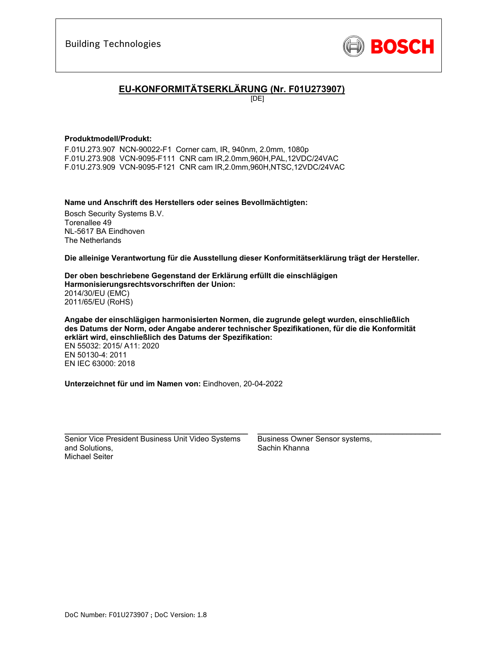

# **EU-KONFORMITÄTSERKLÄRUNG (Nr. F01U273907)**

[DE]

### **Produktmodell/Produkt:**

F.01U.273.907 NCN-90022-F1 Corner cam, IR, 940nm, 2.0mm, 1080p F.01U.273.908 VCN-9095-F111 CNR cam IR,2.0mm,960H,PAL,12VDC/24VAC F.01U.273.909 VCN-9095-F121 CNR cam IR,2.0mm,960H,NTSC,12VDC/24VAC

**Name und Anschrift des Herstellers oder seines Bevollmächtigten:** 

Bosch Security Systems B.V. Torenallee 49 NL-5617 BA Eindhoven The Netherlands

**Die alleinige Verantwortung für die Ausstellung dieser Konformitätserklärung trägt der Hersteller.** 

**Der oben beschriebene Gegenstand der Erklärung erfüllt die einschlägigen Harmonisierungsrechtsvorschriften der Union:** 2014/30/EU (EMC) 2011/65/EU (RoHS)

**Angabe der einschlägigen harmonisierten Normen, die zugrunde gelegt wurden, einschließlich des Datums der Norm, oder Angabe anderer technischer Spezifikationen, für die die Konformität erklärt wird, einschließlich des Datums der Spezifikation:**  EN 55032: 2015/ A11: 2020 EN 50130-4: 2011 EN IEC 63000: 2018

**Unterzeichnet für und im Namen von:** Eindhoven, 20-04-2022

Senior Vice President Business Unit Video Systems and Solutions, Michael Seiter

 $\mathcal{L}_\text{max}$  and  $\mathcal{L}_\text{max}$  and  $\mathcal{L}_\text{max}$  and  $\mathcal{L}_\text{max}$ 

Business Owner Sensor systems, Sachin Khanna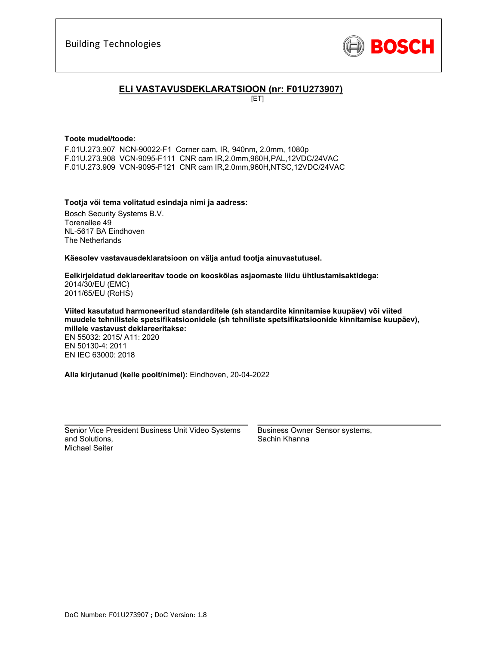

### **ELi VASTAVUSDEKLARATSIOON (nr: F01U273907)**

[ET]

#### **Toote mudel/toode:**

F.01U.273.907 NCN-90022-F1 Corner cam, IR, 940nm, 2.0mm, 1080p F.01U.273.908 VCN-9095-F111 CNR cam IR,2.0mm,960H,PAL,12VDC/24VAC F.01U.273.909 VCN-9095-F121 CNR cam IR,2.0mm,960H,NTSC,12VDC/24VAC

### **Tootja või tema volitatud esindaja nimi ja aadress:**

Bosch Security Systems B.V. Torenallee 49 NL-5617 BA Eindhoven The Netherlands

**Käesolev vastavausdeklaratsioon on välja antud tootja ainuvastutusel.** 

#### **Eelkirjeldatud deklareeritav toode on kooskõlas asjaomaste liidu ühtlustamisaktidega:** 2014/30/EU (EMC) 2011/65/EU (RoHS)

**Viited kasutatud harmoneeritud standarditele (sh standardite kinnitamise kuupäev) või viited muudele tehnilistele spetsifikatsioonidele (sh tehniliste spetsifikatsioonide kinnitamise kuupäev), millele vastavust deklareeritakse:** 

EN 55032: 2015/ A11: 2020 EN 50130-4: 2011 EN IEC 63000: 2018

**Alla kirjutanud (kelle poolt/nimel):** Eindhoven, 20-04-2022

Senior Vice President Business Unit Video Systems and Solutions, Michael Seiter

 $\mathcal{L}_\text{max}$  and  $\mathcal{L}_\text{max}$  and  $\mathcal{L}_\text{max}$  and  $\mathcal{L}_\text{max}$ 

Business Owner Sensor systems, Sachin Khanna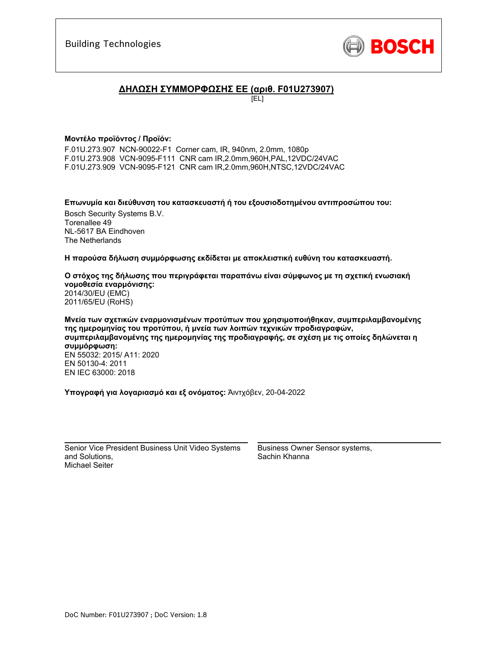

### **ΔΗΛΩΣΗ ΣΥΜΜΟΡΦΩΣΗΣ ΕΕ (αριθ. F01U273907)**

[EL]

### **Μοντέλο προϊόντος / Προϊόν:**

F.01U.273.907 NCN-90022-F1 Corner cam, IR, 940nm, 2.0mm, 1080p F.01U.273.908 VCN-9095-F111 CNR cam IR,2.0mm,960H,PAL,12VDC/24VAC F.01U.273.909 VCN-9095-F121 CNR cam IR,2.0mm,960H,NTSC,12VDC/24VAC

**Επωνυμία και διεύθυνση του κατασκευαστή ή του εξουσιοδοτημένου αντιπροσώπου του:** 

Bosch Security Systems B.V. Torenallee 49 NL-5617 BA Eindhoven The Netherlands

**Η παρούσα δήλωση συμμόρφωσης εκδίδεται με αποκλειστική ευθύνη του κατασκευαστή.** 

**Ο στόχος της δήλωσης που περιγράφεται παραπάνω είναι σύμφωνος με τη σχετική ενωσιακή νομοθεσία εναρμόνισης:** 2014/30/EU (EMC) 2011/65/EU (RoHS)

**Μνεία των σχετικών εναρμονισμένων προτύπων που χρησιμοποιήθηκαν, συμπεριλαμβανομένης της ημερομηνίας του προτύπου, ή μνεία των λοιπών τεχνικών προδιαγραφών, συμπεριλαμβανομένης της ημερομηνίας της προδιαγραφής, σε σχέση με τις οποίες δηλώνεται η συμμόρφωση:**  EN 55032: 2015/ A11: 2020 EN 50130-4: 2011 EN IEC 63000: 2018

**Υπογραφή για λογαριασμό και εξ ονόματος:** Άιντχόβεν, 20-04-2022

Senior Vice President Business Unit Video Systems and Solutions, Michael Seiter

 $\mathcal{L}_\text{max}$  and  $\mathcal{L}_\text{max}$  and  $\mathcal{L}_\text{max}$  and  $\mathcal{L}_\text{max}$ 

Business Owner Sensor systems, Sachin Khanna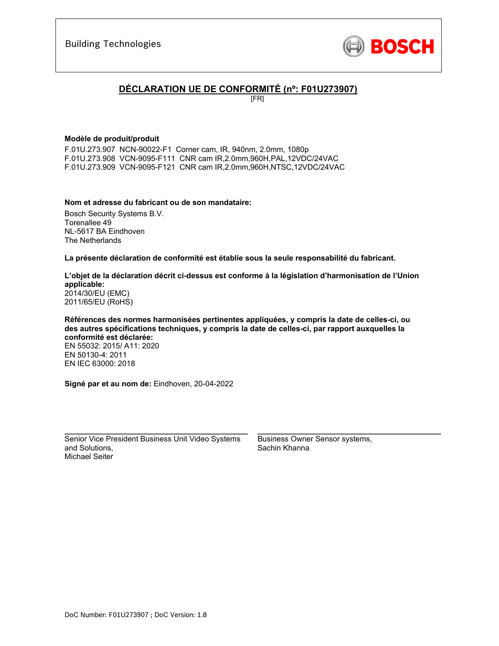

## **DÉCLARATION UE DE CONFORMITÉ (nº: F01U273907)**

[FR]

### **Modèle de produit/produit**

F.01U.273.907 NCN-90022-F1 Corner cam, IR, 940nm, 2.0mm, 1080p F.01U.273.908 VCN-9095-F111 CNR cam IR,2.0mm,960H,PAL,12VDC/24VAC F.01U.273.909 VCN-9095-F121 CNR cam IR,2.0mm,960H,NTSC,12VDC/24VAC

### **Nom et adresse du fabricant ou de son mandataire:**

Bosch Security Systems B.V. Torenallee 49 NL-5617 BA Eindhoven The Netherlands

**La présente déclaration de conformité est établie sous la seule responsabilité du fabricant.** 

#### **L'objet de la déclaration décrit ci-dessus est conforme à la législation d'harmonisation de l'Union applicable:** 2014/30/EU (EMC) 2011/65/EU (RoHS)

**Références des normes harmonisées pertinentes appliquées, y compris la date de celles-ci, ou des autres spécifications techniques, y compris la date de celles-ci, par rapport auxquelles la conformité est déclarée:**  EN 55032: 2015/ A11: 2020 EN 50130-4: 2011

EN IEC 63000: 2018

**Signé par et au nom de:** Eindhoven, 20-04-2022

Senior Vice President Business Unit Video Systems and Solutions, Michael Seiter

 $\mathcal{L}_\text{max}$  and  $\mathcal{L}_\text{max}$  and  $\mathcal{L}_\text{max}$  and  $\mathcal{L}_\text{max}$ 

Business Owner Sensor systems, Sachin Khanna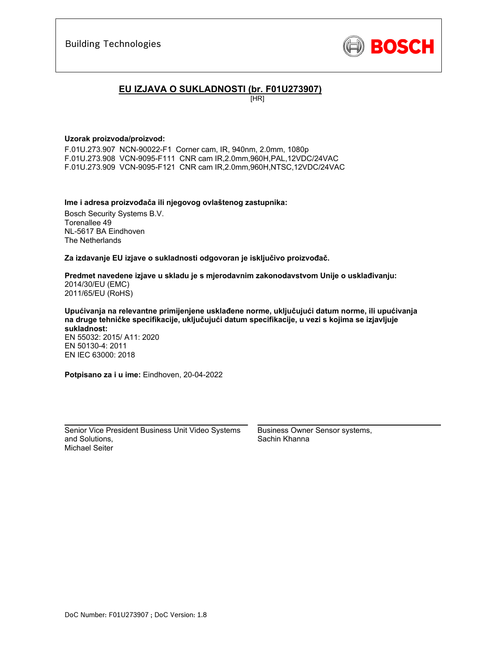

### **EU IZJAVA O SUKLADNOSTI (br. F01U273907)**

[HR]

### **Uzorak proizvoda/proizvod:**

F.01U.273.907 NCN-90022-F1 Corner cam, IR, 940nm, 2.0mm, 1080p F.01U.273.908 VCN-9095-F111 CNR cam IR,2.0mm,960H,PAL,12VDC/24VAC F.01U.273.909 VCN-9095-F121 CNR cam IR,2.0mm,960H,NTSC,12VDC/24VAC

### **Ime i adresa proizvođača ili njegovog ovlaštenog zastupnika:**

Bosch Security Systems B.V. Torenallee 49 NL-5617 BA Eindhoven The Netherlands

**Za izdavanje EU izjave o sukladnosti odgovoran je isključivo proizvođač.** 

**Predmet navedene izjave u skladu je s mjerodavnim zakonodavstvom Unije o usklađivanju:** 2014/30/EU (EMC) 2011/65/EU (RoHS)

**Upućivanja na relevantne primijenjene usklađene norme, uključujući datum norme, ili upućivanja na druge tehničke specifikacije, uključujući datum specifikacije, u vezi s kojima se izjavljuje sukladnost:** 

EN 55032: 2015/ A11: 2020 EN 50130-4: 2011 EN IEC 63000: 2018

**Potpisano za i u ime:** Eindhoven, 20-04-2022

Senior Vice President Business Unit Video Systems and Solutions, Michael Seiter

\_\_\_\_\_\_\_\_\_\_\_\_\_\_\_\_\_\_\_\_\_\_\_\_\_\_\_\_\_\_\_\_\_\_\_\_\_\_\_\_\_\_\_

Business Owner Sensor systems, Sachin Khanna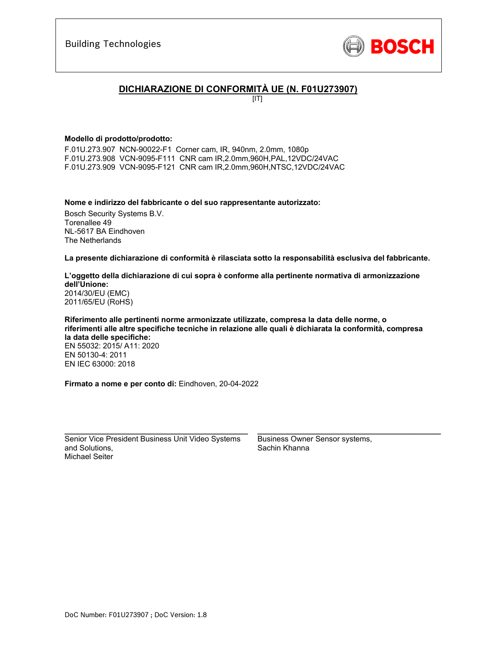

## **DICHIARAZIONE DI CONFORMITÀ UE (N. F01U273907)**

 $[IT]$ 

### **Modello di prodotto/prodotto:**

F.01U.273.907 NCN-90022-F1 Corner cam, IR, 940nm, 2.0mm, 1080p F.01U.273.908 VCN-9095-F111 CNR cam IR,2.0mm,960H,PAL,12VDC/24VAC F.01U.273.909 VCN-9095-F121 CNR cam IR,2.0mm,960H,NTSC,12VDC/24VAC

#### **Nome e indirizzo del fabbricante o del suo rappresentante autorizzato:**

Bosch Security Systems B.V. Torenallee 49 NL-5617 BA Eindhoven The Netherlands

**La presente dichiarazione di conformità è rilasciata sotto la responsabilità esclusiva del fabbricante.** 

#### **L'oggetto della dichiarazione di cui sopra è conforme alla pertinente normativa di armonizzazione dell'Unione:** 2014/30/EU (EMC) 2011/65/EU (RoHS)

**Riferimento alle pertinenti norme armonizzate utilizzate, compresa la data delle norme, o riferimenti alle altre specifiche tecniche in relazione alle quali è dichiarata la conformità, compresa la data delle specifiche:**  EN 55032: 2015/ A11: 2020 EN 50130-4: 2011 EN IEC 63000: 2018

**Firmato a nome e per conto di:** Eindhoven, 20-04-2022

Senior Vice President Business Unit Video Systems and Solutions, Michael Seiter

\_\_\_\_\_\_\_\_\_\_\_\_\_\_\_\_\_\_\_\_\_\_\_\_\_\_\_\_\_\_\_\_\_\_\_\_\_\_\_\_\_\_\_

Business Owner Sensor systems, Sachin Khanna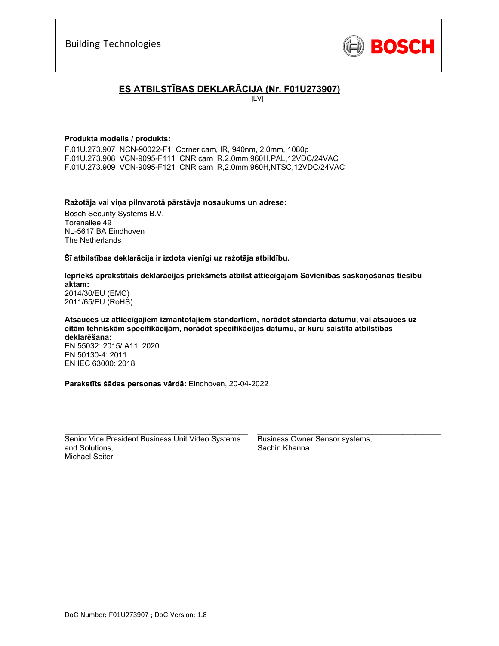

# **ES ATBILSTĪBAS DEKLARĀCIJA (Nr. F01U273907)**

[LV]

### **Produkta modelis / produkts:**

F.01U.273.907 NCN-90022-F1 Corner cam, IR, 940nm, 2.0mm, 1080p F.01U.273.908 VCN-9095-F111 CNR cam IR,2.0mm,960H,PAL,12VDC/24VAC F.01U.273.909 VCN-9095-F121 CNR cam IR,2.0mm,960H,NTSC,12VDC/24VAC

#### **Ražotāja vai viņa pilnvarotā pārstāvja nosaukums un adrese:**

Bosch Security Systems B.V. Torenallee 49 NL-5617 BA Eindhoven The Netherlands

**Šī atbilstības deklarācija ir izdota vienīgi uz ražotāja atbildību.** 

### **Iepriekš aprakstītais deklarācijas priekšmets atbilst attiecīgajam Savienības saskaņošanas tiesību aktam:** 2014/30/EU (EMC)

2011/65/EU (RoHS)

#### **Atsauces uz attiecīgajiem izmantotajiem standartiem, norādot standarta datumu, vai atsauces uz citām tehniskām specifikācijām, norādot specifikācijas datumu, ar kuru saistīta atbilstības deklarēšana:**  EN 55032: 2015/ A11: 2020 EN 50130-4: 2011

EN IEC 63000: 2018

**Parakstīts šādas personas vārdā:** Eindhoven, 20-04-2022

Senior Vice President Business Unit Video Systems and Solutions, Michael Seiter

\_\_\_\_\_\_\_\_\_\_\_\_\_\_\_\_\_\_\_\_\_\_\_\_\_\_\_\_\_\_\_\_\_\_\_\_\_\_\_\_\_\_\_

Business Owner Sensor systems, Sachin Khanna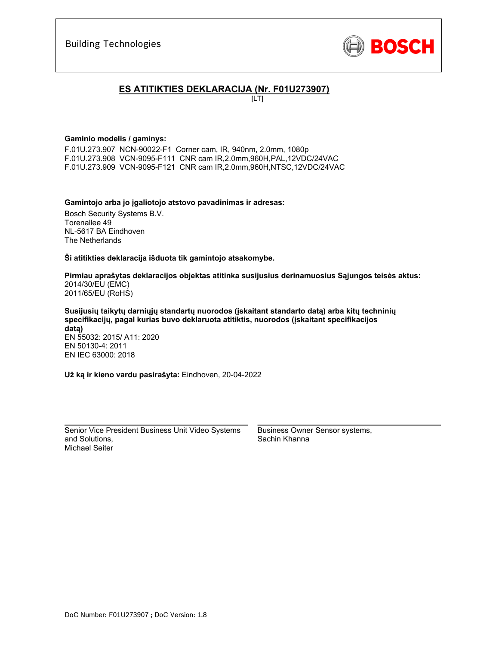

# **ES ATITIKTIES DEKLARACIJA (Nr. F01U273907)**

 $[LT]$ 

### **Gaminio modelis / gaminys:**

F.01U.273.907 NCN-90022-F1 Corner cam, IR, 940nm, 2.0mm, 1080p F.01U.273.908 VCN-9095-F111 CNR cam IR,2.0mm,960H,PAL,12VDC/24VAC F.01U.273.909 VCN-9095-F121 CNR cam IR,2.0mm,960H,NTSC,12VDC/24VAC

### **Gamintojo arba jo įgaliotojo atstovo pavadinimas ir adresas:**

Bosch Security Systems B.V. Torenallee 49 NL-5617 BA Eindhoven The Netherlands

**Ši atitikties deklaracija išduota tik gamintojo atsakomybe.** 

**Pirmiau aprašytas deklaracijos objektas atitinka susijusius derinamuosius Sąjungos teisės aktus:** 2014/30/EU (EMC) 2011/65/EU (RoHS)

**Susijusių taikytų darniųjų standartų nuorodos (įskaitant standarto datą) arba kitų techninių specifikacijų, pagal kurias buvo deklaruota atitiktis, nuorodos (įskaitant specifikacijos datą)**  EN 55032: 2015/ A11: 2020

EN 50130-4: 2011 EN IEC 63000: 2018

**Už ką ir kieno vardu pasirašyta:** Eindhoven, 20-04-2022

Senior Vice President Business Unit Video Systems and Solutions, Michael Seiter

 $\mathcal{L}_\text{max}$  and  $\mathcal{L}_\text{max}$  and  $\mathcal{L}_\text{max}$  and  $\mathcal{L}_\text{max}$ 

Business Owner Sensor systems, Sachin Khanna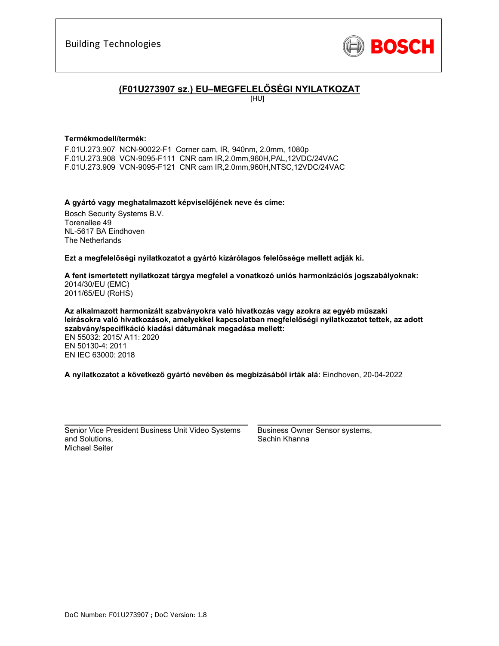

# **(F01U273907 sz.) EU–MEGFELELŐSÉGI NYILATKOZAT**

[HU]

### **Termékmodell/termék:**

F.01U.273.907 NCN-90022-F1 Corner cam, IR, 940nm, 2.0mm, 1080p F.01U.273.908 VCN-9095-F111 CNR cam IR,2.0mm,960H,PAL,12VDC/24VAC F.01U.273.909 VCN-9095-F121 CNR cam IR,2.0mm,960H,NTSC,12VDC/24VAC

**A gyártó vagy meghatalmazott képviselőjének neve és címe:**  Bosch Security Systems B.V. Torenallee 49

NL-5617 BA Eindhoven The Netherlands

**Ezt a megfelelőségi nyilatkozatot a gyártó kizárólagos felelőssége mellett adják ki.** 

**A fent ismertetett nyilatkozat tárgya megfelel a vonatkozó uniós harmonizációs jogszabályoknak:** 2014/30/EU (EMC) 2011/65/EU (RoHS)

**Az alkalmazott harmonizált szabványokra való hivatkozás vagy azokra az egyéb műszaki leírásokra való hivatkozások, amelyekkel kapcsolatban megfelelőségi nyilatkozatot tettek, az adott szabvány/specifikáció kiadási dátumának megadása mellett:** 

EN 55032: 2015/ A11: 2020 EN 50130-4: 2011 EN IEC 63000: 2018

**A nyilatkozatot a következő gyártó nevében és megbízásából írták alá:** Eindhoven, 20-04-2022

Senior Vice President Business Unit Video Systems and Solutions, Michael Seiter

 $\mathcal{L}_\text{max}$  and  $\mathcal{L}_\text{max}$  and  $\mathcal{L}_\text{max}$  and  $\mathcal{L}_\text{max}$ 

Business Owner Sensor systems, Sachin Khanna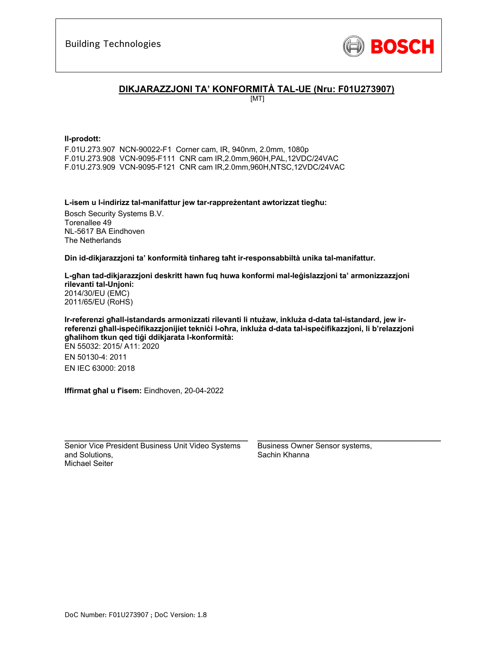

### **DIKJARAZZJONI TA' KONFORMITÀ TAL-UE (Nru: F01U273907)**

[MT]

#### **Il-prodott:**

F.01U.273.907 NCN-90022-F1 Corner cam, IR, 940nm, 2.0mm, 1080p F.01U.273.908 VCN-9095-F111 CNR cam IR,2.0mm,960H,PAL,12VDC/24VAC F.01U.273.909 VCN-9095-F121 CNR cam IR,2.0mm,960H,NTSC,12VDC/24VAC

**L-isem u l-indirizz tal-manifattur jew tar-rappreżentant awtorizzat tiegħu:** 

Bosch Security Systems B.V. Torenallee 49 NL-5617 BA Eindhoven The Netherlands

**Din id-dikjarazzjoni ta' konformità tinħareg taħt ir-responsabbiltà unika tal-manifattur.** 

**L-għan tad-dikjarazzjoni deskritt hawn fuq huwa konformi mal-leġislazzjoni ta' armonizzazzjoni rilevanti tal-Unjoni:** 2014/30/EU (EMC) 2011/65/EU (RoHS)

**Ir-referenzi għall-istandards armonizzati rilevanti li ntużaw, inkluża d-data tal-istandard, jew irreferenzi għall-ispeċifikazzjonijiet tekniċi l-oħra, inkluża d-data tal-ispeċifikazzjoni, li b'relazzjoni għalihom tkun qed tiġi ddikjarata l-konformità:**  EN 55032: 2015/ A11: 2020 EN 50130-4: 2011 EN IEC 63000: 2018

**Iffirmat għal u f'isem:** Eindhoven, 20-04-2022

Senior Vice President Business Unit Video Systems and Solutions, Michael Seiter

\_\_\_\_\_\_\_\_\_\_\_\_\_\_\_\_\_\_\_\_\_\_\_\_\_\_\_\_\_\_\_\_\_\_\_\_\_\_\_\_\_\_\_

Business Owner Sensor systems, Sachin Khanna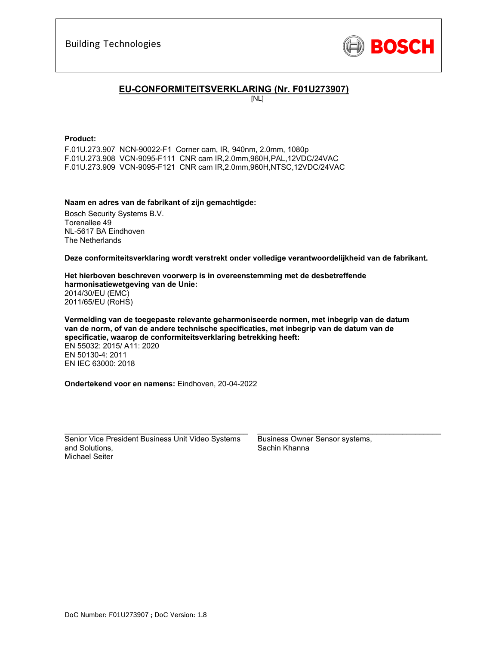

### **EU-CONFORMITEITSVERKLARING (Nr. F01U273907)**

[NL]

#### **Product:**

F.01U.273.907 NCN-90022-F1 Corner cam, IR, 940nm, 2.0mm, 1080p F.01U.273.908 VCN-9095-F111 CNR cam IR,2.0mm,960H,PAL,12VDC/24VAC F.01U.273.909 VCN-9095-F121 CNR cam IR,2.0mm,960H,NTSC,12VDC/24VAC

### **Naam en adres van de fabrikant of zijn gemachtigde:**

Bosch Security Systems B.V. Torenallee 49 NL-5617 BA Eindhoven The Netherlands

**Deze conformiteitsverklaring wordt verstrekt onder volledige verantwoordelijkheid van de fabrikant.** 

#### **Het hierboven beschreven voorwerp is in overeenstemming met de desbetreffende harmonisatiewetgeving van de Unie:** 2014/30/EU (EMC) 2011/65/EU (RoHS)

**Vermelding van de toegepaste relevante geharmoniseerde normen, met inbegrip van de datum van de norm, of van de andere technische specificaties, met inbegrip van de datum van de specificatie, waarop de conformiteitsverklaring betrekking heeft:**  EN 55032: 2015/ A11: 2020 EN 50130-4: 2011 EN IEC 63000: 2018

**Ondertekend voor en namens:** Eindhoven, 20-04-2022

Senior Vice President Business Unit Video Systems and Solutions, Michael Seiter

 $\mathcal{L}_\text{max}$  and  $\mathcal{L}_\text{max}$  and  $\mathcal{L}_\text{max}$  and  $\mathcal{L}_\text{max}$ 

Business Owner Sensor systems, Sachin Khanna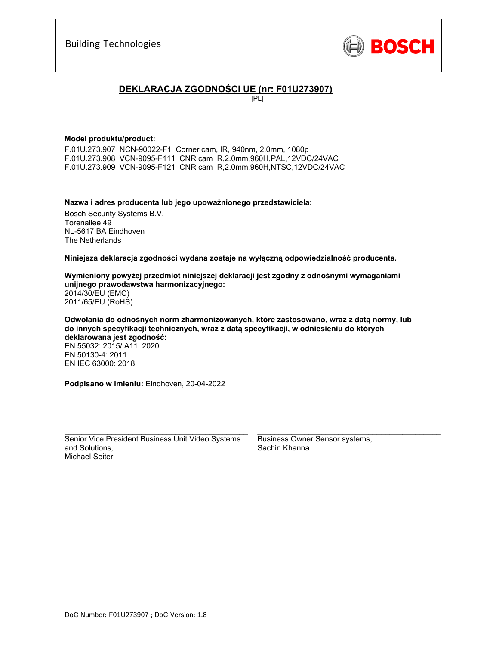

# **DEKLARACJA ZGODNOŚCI UE (nr: F01U273907)**

[PL]

### **Model produktu/product:**

F.01U.273.907 NCN-90022-F1 Corner cam, IR, 940nm, 2.0mm, 1080p F.01U.273.908 VCN-9095-F111 CNR cam IR,2.0mm,960H,PAL,12VDC/24VAC F.01U.273.909 VCN-9095-F121 CNR cam IR,2.0mm,960H,NTSC,12VDC/24VAC

**Nazwa i adres producenta lub jego upoważnionego przedstawiciela:** 

Bosch Security Systems B.V. Torenallee 49 NL-5617 BA Eindhoven The Netherlands

**Niniejsza deklaracja zgodności wydana zostaje na wyłączną odpowiedzialność producenta.** 

**Wymieniony powyżej przedmiot niniejszej deklaracji jest zgodny z odnośnymi wymaganiami unijnego prawodawstwa harmonizacyjnego:** 2014/30/EU (EMC) 2011/65/EU (RoHS)

**Odwołania do odnośnych norm zharmonizowanych, które zastosowano, wraz z datą normy, lub do innych specyfikacji technicznych, wraz z datą specyfikacji, w odniesieniu do których deklarowana jest zgodność:**  EN 55032: 2015/ A11: 2020 EN 50130-4: 2011 EN IEC 63000: 2018

**Podpisano w imieniu:** Eindhoven, 20-04-2022

Senior Vice President Business Unit Video Systems and Solutions, Michael Seiter

\_\_\_\_\_\_\_\_\_\_\_\_\_\_\_\_\_\_\_\_\_\_\_\_\_\_\_\_\_\_\_\_\_\_\_\_\_\_\_\_\_\_\_

Business Owner Sensor systems, Sachin Khanna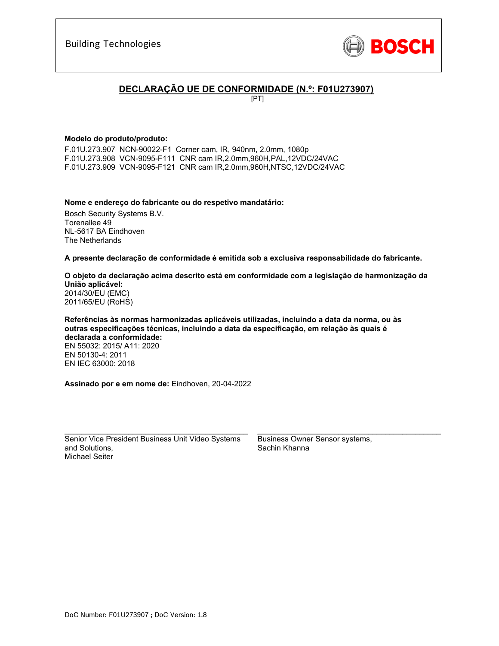

# **DECLARAÇÃO UE DE CONFORMIDADE (N.º: F01U273907)**

[PT]

### **Modelo do produto/produto:**

F.01U.273.907 NCN-90022-F1 Corner cam, IR, 940nm, 2.0mm, 1080p F.01U.273.908 VCN-9095-F111 CNR cam IR,2.0mm,960H,PAL,12VDC/24VAC F.01U.273.909 VCN-9095-F121 CNR cam IR,2.0mm,960H,NTSC,12VDC/24VAC

### **Nome e endereço do fabricante ou do respetivo mandatário:**

Bosch Security Systems B.V. Torenallee 49 NL-5617 BA Eindhoven The Netherlands

**A presente declaração de conformidade é emitida sob a exclusiva responsabilidade do fabricante.** 

#### **O objeto da declaração acima descrito está em conformidade com a legislação de harmonização da União aplicável:** 2014/30/EU (EMC) 2011/65/EU (RoHS)

**Referências às normas harmonizadas aplicáveis utilizadas, incluindo a data da norma, ou às outras especificações técnicas, incluindo a data da especificação, em relação às quais é declarada a conformidade:**  EN 55032: 2015/ A11: 2020 EN 50130-4: 2011 EN IEC 63000: 2018

**Assinado por e em nome de:** Eindhoven, 20-04-2022

Senior Vice President Business Unit Video Systems and Solutions, Michael Seiter

\_\_\_\_\_\_\_\_\_\_\_\_\_\_\_\_\_\_\_\_\_\_\_\_\_\_\_\_\_\_\_\_\_\_\_\_\_\_\_\_\_\_\_

Business Owner Sensor systems, Sachin Khanna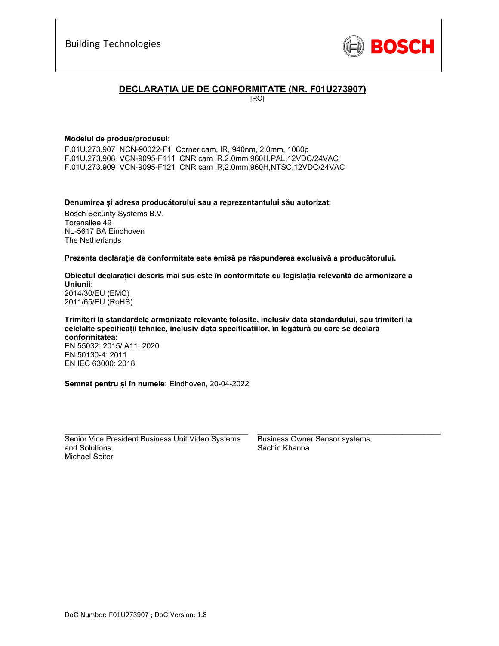

### **DECLARAȚIA UE DE CONFORMITATE (NR. F01U273907)**

[RO]

### **Modelul de produs/produsul:**

F.01U.273.907 NCN-90022-F1 Corner cam, IR, 940nm, 2.0mm, 1080p F.01U.273.908 VCN-9095-F111 CNR cam IR,2.0mm,960H,PAL,12VDC/24VAC F.01U.273.909 VCN-9095-F121 CNR cam IR,2.0mm,960H,NTSC,12VDC/24VAC

**Denumirea și adresa producătorului sau a reprezentantului său autorizat:** 

Bosch Security Systems B.V. Torenallee 49 NL-5617 BA Eindhoven The Netherlands

**Prezenta declarație de conformitate este emisă pe răspunderea exclusivă a producătorului.** 

**Obiectul declarației descris mai sus este în conformitate cu legislația relevantă de armonizare a Uniunii:** 2014/30/EU (EMC) 2011/65/EU (RoHS)

**Trimiteri la standardele armonizate relevante folosite, inclusiv data standardului, sau trimiteri la celelalte specificații tehnice, inclusiv data specificațiilor, în legătură cu care se declară conformitatea:**  EN 55032: 2015/ A11: 2020 EN 50130-4: 2011 EN IEC 63000: 2018

**Semnat pentru și în numele:** Eindhoven, 20-04-2022

Senior Vice President Business Unit Video Systems and Solutions, Michael Seiter

 $\mathcal{L}_\text{max}$  and  $\mathcal{L}_\text{max}$  and  $\mathcal{L}_\text{max}$  and  $\mathcal{L}_\text{max}$ 

Business Owner Sensor systems, Sachin Khanna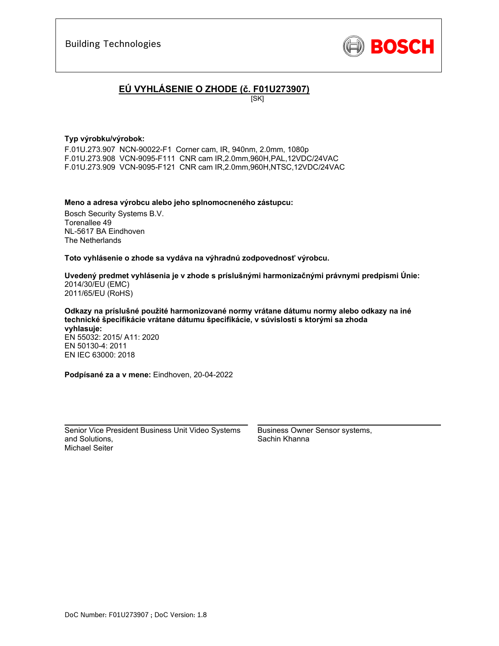

# **EÚ VYHLÁSENIE O ZHODE (č. F01U273907)**

 $[SK]$ 

### **Typ výrobku/výrobok:**

F.01U.273.907 NCN-90022-F1 Corner cam, IR, 940nm, 2.0mm, 1080p F.01U.273.908 VCN-9095-F111 CNR cam IR,2.0mm,960H,PAL,12VDC/24VAC F.01U.273.909 VCN-9095-F121 CNR cam IR,2.0mm,960H,NTSC,12VDC/24VAC

#### **Meno a adresa výrobcu alebo jeho splnomocneného zástupcu:**

Bosch Security Systems B.V. Torenallee 49 NL-5617 BA Eindhoven The Netherlands

**Toto vyhlásenie o zhode sa vydáva na výhradnú zodpovednosť výrobcu.** 

**Uvedený predmet vyhlásenia je v zhode s príslušnými harmonizačnými právnymi predpismi Únie:** 2014/30/EU (EMC) 2011/65/EU (RoHS)

**Odkazy na príslušné použité harmonizované normy vrátane dátumu normy alebo odkazy na iné technické špecifikácie vrátane dátumu špecifikácie, v súvislosti s ktorými sa zhoda vyhlasuje:** 

EN 55032: 2015/ A11: 2020 EN 50130-4: 2011 EN IEC 63000: 2018

**Podpísané za a v mene:** Eindhoven, 20-04-2022

Senior Vice President Business Unit Video Systems and Solutions, Michael Seiter

\_\_\_\_\_\_\_\_\_\_\_\_\_\_\_\_\_\_\_\_\_\_\_\_\_\_\_\_\_\_\_\_\_\_\_\_\_\_\_\_\_\_\_

Business Owner Sensor systems, Sachin Khanna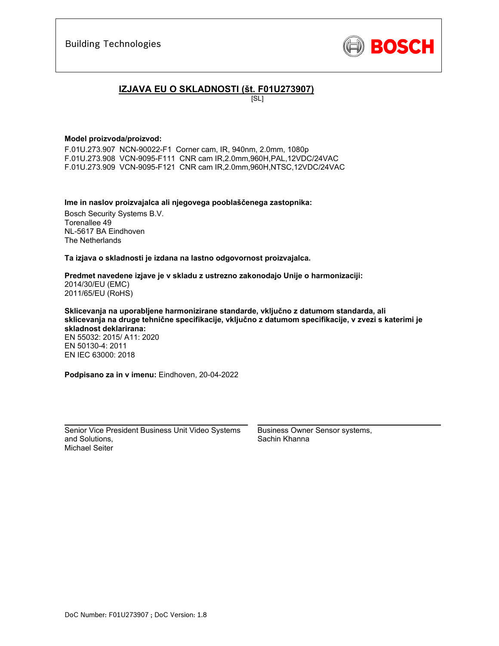

### **IZJAVA EU O SKLADNOSTI (št. F01U273907)**

[SL]

#### **Model proizvoda/proizvod:**

F.01U.273.907 NCN-90022-F1 Corner cam, IR, 940nm, 2.0mm, 1080p F.01U.273.908 VCN-9095-F111 CNR cam IR,2.0mm,960H,PAL,12VDC/24VAC F.01U.273.909 VCN-9095-F121 CNR cam IR,2.0mm,960H,NTSC,12VDC/24VAC

**Ime in naslov proizvajalca ali njegovega pooblaščenega zastopnika:** 

Bosch Security Systems B.V. Torenallee 49 NL-5617 BA Eindhoven The Netherlands

**Ta izjava o skladnosti je izdana na lastno odgovornost proizvajalca.** 

#### **Predmet navedene izjave je v skladu z ustrezno zakonodajo Unije o harmonizaciji:** 2014/30/EU (EMC) 2011/65/EU (RoHS)

**Sklicevanja na uporabljene harmonizirane standarde, vključno z datumom standarda, ali sklicevanja na druge tehnične specifikacije, vključno z datumom specifikacije, v zvezi s katerimi je skladnost deklarirana:** 

EN 55032: 2015/ A11: 2020 EN 50130-4: 2011 EN IEC 63000: 2018

**Podpisano za in v imenu:** Eindhoven, 20-04-2022

Senior Vice President Business Unit Video Systems and Solutions, Michael Seiter

 $\mathcal{L}_\text{max}$  and  $\mathcal{L}_\text{max}$  and  $\mathcal{L}_\text{max}$  and  $\mathcal{L}_\text{max}$ 

Business Owner Sensor systems, Sachin Khanna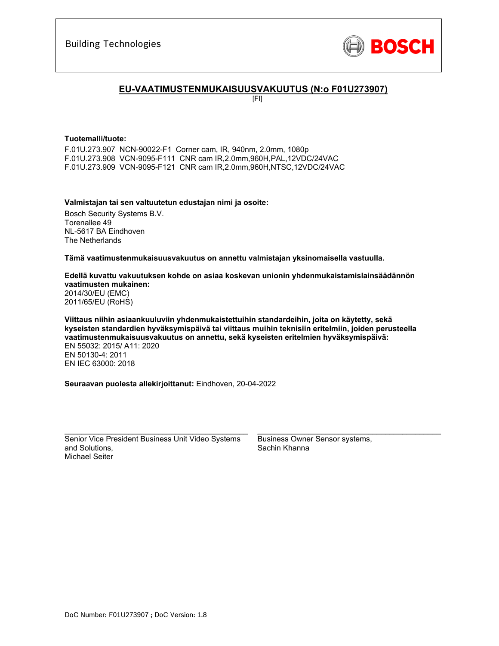

### **EU-VAATIMUSTENMUKAISUUSVAKUUTUS (N:o F01U273907)**

[FI]

#### **Tuotemalli/tuote:**

F.01U.273.907 NCN-90022-F1 Corner cam, IR, 940nm, 2.0mm, 1080p F.01U.273.908 VCN-9095-F111 CNR cam IR,2.0mm,960H,PAL,12VDC/24VAC F.01U.273.909 VCN-9095-F121 CNR cam IR,2.0mm,960H,NTSC,12VDC/24VAC

### **Valmistajan tai sen valtuutetun edustajan nimi ja osoite:**

Bosch Security Systems B.V. Torenallee 49 NL-5617 BA Eindhoven The Netherlands

**Tämä vaatimustenmukaisuusvakuutus on annettu valmistajan yksinomaisella vastuulla.** 

#### **Edellä kuvattu vakuutuksen kohde on asiaa koskevan unionin yhdenmukaistamislainsäädännön vaatimusten mukainen:** 2014/30/EU (EMC) 2011/65/EU (RoHS)

**Viittaus niihin asiaankuuluviin yhdenmukaistettuihin standardeihin, joita on käytetty, sekä kyseisten standardien hyväksymispäivä tai viittaus muihin teknisiin eritelmiin, joiden perusteella vaatimustenmukaisuusvakuutus on annettu, sekä kyseisten eritelmien hyväksymispäivä:**  EN 55032: 2015/ A11: 2020 EN 50130-4: 2011 EN IEC 63000: 2018

**Seuraavan puolesta allekirjoittanut:** Eindhoven, 20-04-2022

Senior Vice President Business Unit Video Systems and Solutions, Michael Seiter

 $\mathcal{L}_\text{max}$  and  $\mathcal{L}_\text{max}$  and  $\mathcal{L}_\text{max}$  and  $\mathcal{L}_\text{max}$ 

Business Owner Sensor systems, Sachin Khanna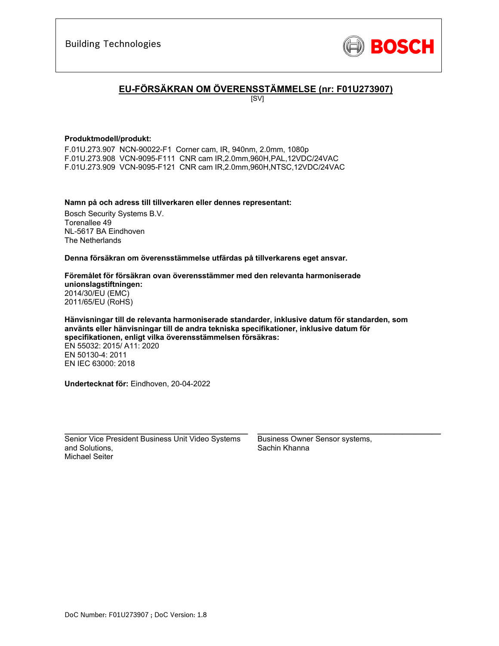

# **EU-FÖRSÄKRAN OM ÖVERENSSTÄMMELSE (nr: F01U273907)**

[SV]

### **Produktmodell/produkt:**

F.01U.273.907 NCN-90022-F1 Corner cam, IR, 940nm, 2.0mm, 1080p F.01U.273.908 VCN-9095-F111 CNR cam IR,2.0mm,960H,PAL,12VDC/24VAC F.01U.273.909 VCN-9095-F121 CNR cam IR,2.0mm,960H,NTSC,12VDC/24VAC

### **Namn på och adress till tillverkaren eller dennes representant:**

Bosch Security Systems B.V. Torenallee 49 NL-5617 BA Eindhoven The Netherlands

**Denna försäkran om överensstämmelse utfärdas på tillverkarens eget ansvar.** 

#### **Föremålet för försäkran ovan överensstämmer med den relevanta harmoniserade unionslagstiftningen:** 2014/30/EU (EMC) 2011/65/EU (RoHS)

**Hänvisningar till de relevanta harmoniserade standarder, inklusive datum för standarden, som använts eller hänvisningar till de andra tekniska specifikationer, inklusive datum för specifikationen, enligt vilka överensstämmelsen försäkras:**  EN 55032: 2015/ A11: 2020 EN 50130-4: 2011 EN IEC 63000: 2018

**Undertecknat för:** Eindhoven, 20-04-2022

Senior Vice President Business Unit Video Systems and Solutions, Michael Seiter

\_\_\_\_\_\_\_\_\_\_\_\_\_\_\_\_\_\_\_\_\_\_\_\_\_\_\_\_\_\_\_\_\_\_\_\_\_\_\_\_\_\_\_

Business Owner Sensor systems, Sachin Khanna